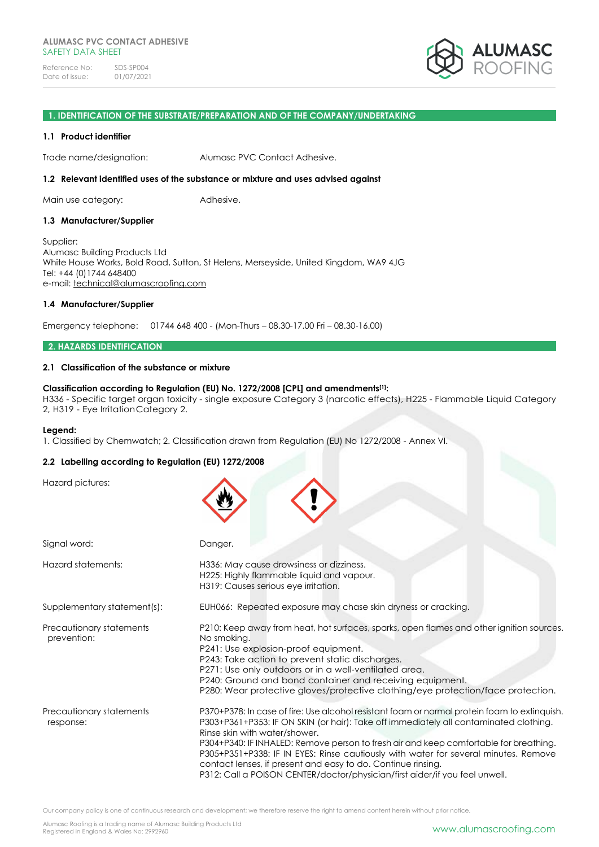

#### **1. IDENTIFICATION OF THE SUBSTRATE/PREPARATION AND OF THE COMPANY/UNDERTAKING**

#### **1.1 Product identifier**

Trade name/designation: Alumasc PVC Contact Adhesive.

#### **1.2 Relevant identified uses of the substance or mixture and uses advised against**

Main use category: **Adhesive.** 

#### **1.3 Manufacturer/Supplier**

Supplier: Alumasc Building Products Ltd White House Works, Bold Road, Sutton, St Helens, Merseyside, United Kingdom, WA9 4JG Tel: +44 (0)1744 648400 e-mail: [technical@alumascroofing.com](mailto:technical@alumascroofing.com)

#### **1.4 Manufacturer/Supplier**

Emergency telephone: 01744 648 400 - (Mon-Thurs – 08.30-17.00 Fri – 08.30-16.00)

#### **2. HAZARDS IDENTIFICATION**

#### **2.1 Classification of the substance or mixture**

### **Classification according to Regulation (EU) No. 1272/2008 [CPL] and amendments[1]:**

H336 - Specific target organ toxicity - single exposure Category 3 (narcotic effects), H225 - Flammable Liquid Category 2, H319 - Eye IrritationCategory 2.

#### **Legend:**

1. Classified by Chemwatch; 2. Classification drawn from Regulation (EU) No 1272/2008 - Annex VI.

## **2.2 Labelling according to Regulation (EU) 1272/2008**

Hazard pictures:

| Signal word:                            | Danger.                                                                                                                                                                                                                                                                                                                                                                                                                                                                                                                                               |
|-----------------------------------------|-------------------------------------------------------------------------------------------------------------------------------------------------------------------------------------------------------------------------------------------------------------------------------------------------------------------------------------------------------------------------------------------------------------------------------------------------------------------------------------------------------------------------------------------------------|
| Hazard statements:                      | H336: May cause drowsiness or dizziness.<br>H225: Highly flammable liquid and vapour.<br>H319: Causes serious eye irritation.                                                                                                                                                                                                                                                                                                                                                                                                                         |
| Supplementary statement(s):             | EUH066: Repeated exposure may chase skin dryness or cracking.                                                                                                                                                                                                                                                                                                                                                                                                                                                                                         |
| Precautionary statements<br>prevention: | P210: Keep away from heat, hot surfaces, sparks, open flames and other ignition sources.<br>No smoking.<br>P241: Use explosion-proof equipment.<br>P243: Take action to prevent static discharges.<br>P271: Use only outdoors or in a well-ventilated area.<br>P240: Ground and bond container and receiving equipment.<br>P280: Wear protective gloves/protective clothing/eye protection/face protection.                                                                                                                                           |
| Precautionary statements<br>response:   | P370+P378: In case of fire: Use alcohol resistant foam or normal protein foam to extinquish.<br>P303+P361+P353: IF ON SKIN (or hair): Take off immediately all contaminated clothing.<br>Rinse skin with water/shower.<br>P304+P340: IF INHALED: Remove person to fresh air and keep comfortable for breathing.<br>P305+P351+P338: IF IN EYES: Rinse cautiously with water for several minutes. Remove<br>contact lenses, if present and easy to do. Continue rinsing.<br>P312: Call a POISON CENTER/doctor/physician/first aider/if you feel unwell. |

Our company policy is one of continuous research and development; we therefore reserve the right to amend content herein without prior notice.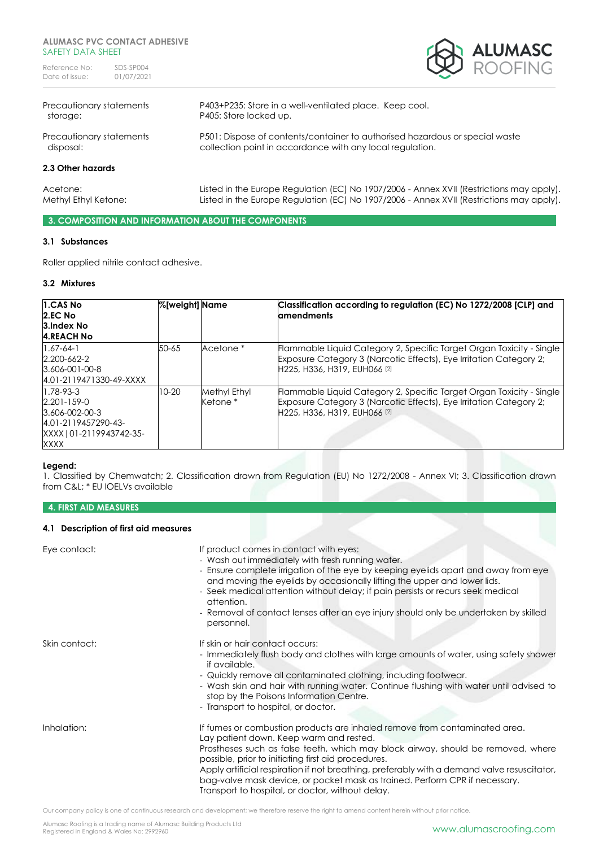

| Precautionary statements | P403+P235: Store in a well-ventilated place. Keep cool.                                  |
|--------------------------|------------------------------------------------------------------------------------------|
| storage:                 | P405: Store locked up.                                                                   |
| Precautionary statements | P501: Dispose of contents/container to authorised hazardous or special waste             |
| disposal:                | collection point in accordance with any local regulation.                                |
| 2.3 Other hazards        |                                                                                          |
| Acetone:                 | Listed in the Europe Regulation (EC) No 1907/2006 - Annex XVII (Restrictions may apply). |
| Methyl Ethyl Ketone:     | Listed in the Europe Regulation (EC) No 1907/2006 - Annex XVII (Restrictions may apply). |

**3. COMPOSITION AND INFORMATION ABOUT THE COMPONENTS**

# **3.1 Substances**

Roller applied nitrile contact adhesive.

# **3.2 Mixtures**

| 1.CAS No<br>2.EC No<br>3.Index No<br><b>4.REACH No</b>                                                            | %[weight] Name |                                     | Classification according to regulation (EC) No 1272/2008 [CLP] and<br><b>amendments</b>                                                                                    |
|-------------------------------------------------------------------------------------------------------------------|----------------|-------------------------------------|----------------------------------------------------------------------------------------------------------------------------------------------------------------------------|
| $1.67 - 64 - 1$<br>2.200-662-2<br>$3.606 - 001 - 00 - 8$<br>4.01-2119471330-49-XXXX                               | 50-65          | Acetone *                           | Flammable Liquid Category 2, Specific Target Organ Toxicity - Single<br>Exposure Category 3 (Narcotic Effects), Eye Irritation Category 2;<br>H225, H336, H319, EUH066 [2] |
| $1.78 - 93 - 3$<br>$2.201 - 159 - 0$<br>3.606-002-00-3<br>4.01-2119457290-43-<br>XXXX   01-2119943742-35-<br>XXXX | 10-20          | Methyl Ethyl<br>Ketone <sup>*</sup> | Flammable Liquid Category 2, Specific Target Organ Toxicity - Single<br>Exposure Category 3 (Narcotic Effects), Eye Irritation Category 2;<br>H225, H336, H319, EUH066 [2] |

## **Legend:**

1. Classified by Chemwatch; 2. Classification drawn from Regulation (EU) No 1272/2008 - Annex VI; 3. Classification drawn from C&L; \* EU IOELVs available

# **4. FIRST AID MEASURES**

# **4.1 Description of first aid measures**

| Eye contact:  | If product comes in contact with eyes:<br>- Wash out immediately with fresh running water.<br>- Ensure complete irrigation of the eye by keeping eyelids apart and away from eye<br>and moving the eyelids by occasionally lifting the upper and lower lids.<br>- Seek medical attention without delay; if pain persists or recurs seek medical<br>attention.<br>- Removal of contact lenses after an eye injury should only be undertaken by skilled<br>personnel.                                |
|---------------|----------------------------------------------------------------------------------------------------------------------------------------------------------------------------------------------------------------------------------------------------------------------------------------------------------------------------------------------------------------------------------------------------------------------------------------------------------------------------------------------------|
| Skin contact: | If skin or hair contact occurs:<br>- Immediately flush body and clothes with large amounts of water, using safety shower<br>if available.<br>- Quickly remove all contaminated clothing, including footwear.<br>- Wash skin and hair with running water. Continue flushing with water until advised to<br>stop by the Poisons Information Centre.<br>- Transport to hospital, or doctor.                                                                                                           |
| Inhalation:   | If fumes or combustion products are inhaled remove from contaminated area.<br>Lay patient down. Keep warm and rested.<br>Prostheses such as false teeth, which may block airway, should be removed, where<br>possible, prior to initiating first aid procedures.<br>Apply artificial respiration if not breathing, preferably with a demand valve resuscitator,<br>bag-valve mask device, or pocket mask as trained. Perform CPR if necessary.<br>Transport to hospital, or doctor, without delay. |

Our company policy is one of continuous research and development; we therefore reserve the right to amend content herein without prior notice.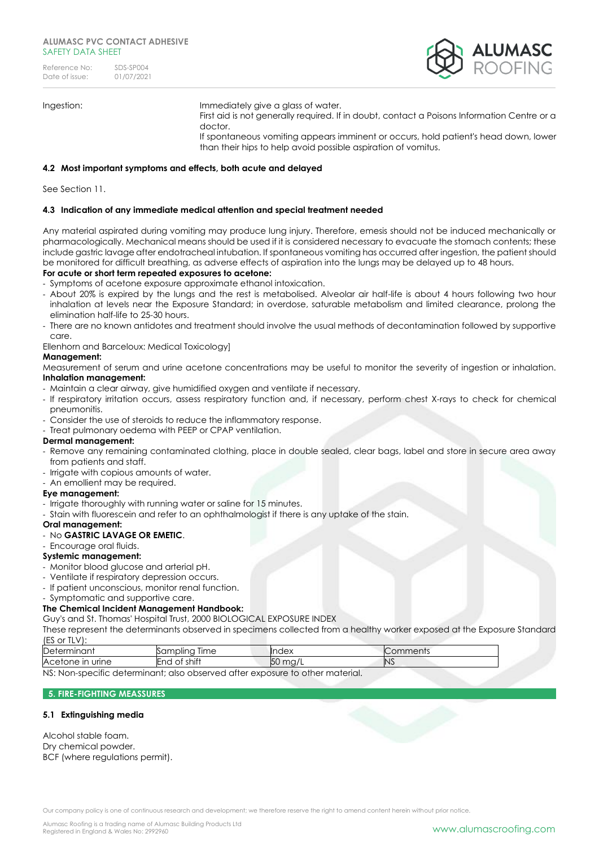| Reference No:  | SDS-SP004  |
|----------------|------------|
| Date of issue: | 01/07/2021 |



Ingestion: Immediately give a glass of water.

First aid is not generally required. If in doubt, contact a Poisons Information Centre or a doctor.

If spontaneous vomiting appears imminent or occurs, hold patient's head down, lower than their hips to help avoid possible aspiration of vomitus.

# **4.2 Most important symptoms and effects, both acute and delayed**

See Section 11.

# **4.3 Indication of any immediate medical attention and special treatment needed**

Any material aspirated during vomiting may produce lung injury. Therefore, emesis should not be induced mechanically or pharmacologically. Mechanical means should be used if it is considered necessary to evacuate the stomach contents; these include gastric lavage after endotracheal intubation. If spontaneous vomiting has occurred after ingestion, the patient should be monitored for difficult breathing, as adverse effects of aspiration into the lungs may be delayed up to 48 hours.

## **For acute or short term repeated exposures to acetone:**

- Symptoms of acetone exposure approximate ethanol intoxication.

- About 20% is expired by the lungs and the rest is metabolised. Alveolar air half-life is about 4 hours following two hour inhalation at levels near the Exposure Standard; in overdose, saturable metabolism and limited clearance, prolong the elimination half-life to 25-30 hours.
- There are no known antidotes and treatment should involve the usual methods of decontamination followed by supportive care.

Ellenhorn and Barceloux: Medical Toxicology]

# **Management:**

Measurement of serum and urine acetone concentrations may be useful to monitor the severity of ingestion or inhalation. **Inhalation management:**

- Maintain a clear airway, give humidified oxygen and ventilate if necessary.
- If respiratory irritation occurs, assess respiratory function and, if necessary, perform chest X-rays to check for chemical pneumonitis.
- Consider the use of steroids to reduce the inflammatory response.
- Treat pulmonary oedema with PEEP or CPAP ventilation.

#### **Dermal management:**

- Remove any remaining contaminated clothing, place in double sealed, clear bags, label and store in secure area away from patients and staff.
- Irrigate with copious amounts of water.
- An emollient may be required.

## **Eye management:**

- Irrigate thoroughly with running water or saline for 15 minutes.
- Stain with fluorescein and refer to an ophthalmologist if there is any uptake of the stain.
- **Oral management:**
- No **GASTRIC LAVAGE OR EMETIC**.

# - Encourage oral fluids.

- **Systemic management:**
- Monitor blood glucose and arterial pH.
- Ventilate if respiratory depression occurs.
- If patient unconscious, monitor renal function.
- Symptomatic and supportive care.

## **The Chemical Incident Management Handbook:**

Guy's and St. Thomas' Hospital Trust, 2000 BIOLOGICAL EXPOSURE INDEX

These represent the determinants observed in specimens collected from a healthy worker exposed at the Exposure Standard (ES or TLV):

| r<br>$\sim$ $\sim$ $\sim$ $+$<br>TOL LI<br>ID⊖⊦<br>. LIIL.   | lime<br>, nplinc<br>ΩU                                                                                         | --<br>⊶، .                         | ,,,,,,,,,, |
|--------------------------------------------------------------|----------------------------------------------------------------------------------------------------------------|------------------------------------|------------|
| $A_0$<br>urine<br>-ir<br>$\mathbf{H}$<br>$\overline{a}$<br>. | $\cdot$ $\cdot$<br>$\sim$ $\sim$ $\cdot$ $\div$ $\div$<br>-nı<br>$\overline{\phantom{a}}$<br>از ب<br>-SE 111 I | $\sqrt{2}$<br>$\sim$<br>∽.<br>. ال | N          |
| .<br>$\sim$                                                  |                                                                                                                |                                    |            |

NS: Non-specific determinant; also observed after exposure to other material.

## **5. FIRE-FIGHTING MEASSURES**

## **5.1 Extinguishing media**

| Alcohol stable foam.            |
|---------------------------------|
| Dry chemical powder.            |
| BCF (where regulations permit). |
|                                 |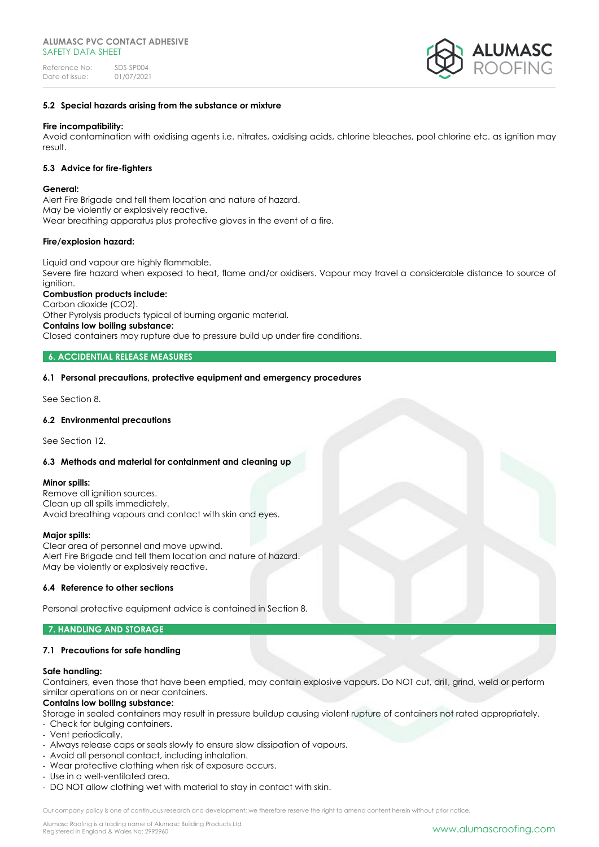

## **5.2 Special hazards arising from the substance or mixture**

## **Fire incompatibility:**

Avoid contamination with oxidising agents i.e. nitrates, oxidising acids, chlorine bleaches, pool chlorine etc. as ignition may result.

## **5.3 Advice for fire-fighters**

#### **General:**

Alert Fire Brigade and tell them location and nature of hazard. May be violently or explosively reactive. Wear breathing apparatus plus protective gloves in the event of a fire.

## **Fire/explosion hazard:**

Liquid and vapour are highly flammable. Severe fire hazard when exposed to heat, flame and/or oxidisers. Vapour may travel a considerable distance to source of ignition.

# **Combustion products include:**

Carbon dioxide (CO2). Other Pyrolysis products typical of burning organic material. **Contains low boiling substance:**  Closed containers may rupture due to pressure build up under fire conditions.

# **6. ACCIDENTIAL RELEASE MEASURES**

## **6.1 Personal precautions, protective equipment and emergency procedures**

See Section 8.

#### **6.2 Environmental precautions**

See Section 12.

## **6.3 Methods and material for containment and cleaning up**

#### **Minor spills:**

Remove all ignition sources. Clean up all spills immediately. Avoid breathing vapours and contact with skin and eyes.

#### **Major spills:**

Clear area of personnel and move upwind. Alert Fire Brigade and tell them location and nature of hazard. May be violently or explosively reactive.

#### **6.4 Reference to other sections**

Personal protective equipment advice is contained in Section 8.

## **7. HANDLING AND STORAGE**

## **7.1 Precautions for safe handling**

#### **Safe handling:**

Containers, even those that have been emptied, may contain explosive vapours. Do NOT cut, drill, grind, weld or perform similar operations on or near containers.

#### **Contains low boiling substance:**

Storage in sealed containers may result in pressure buildup causing violent rupture of containers not rated appropriately.

- Check for bulging containers.
- Vent periodically.
- Always release caps or seals slowly to ensure slow dissipation of vapours.
- Avoid all personal contact, including inhalation.
- Wear protective clothing when risk of exposure occurs.
- Use in a well-ventilated area.
- DO NOT allow clothing wet with material to stay in contact with skin.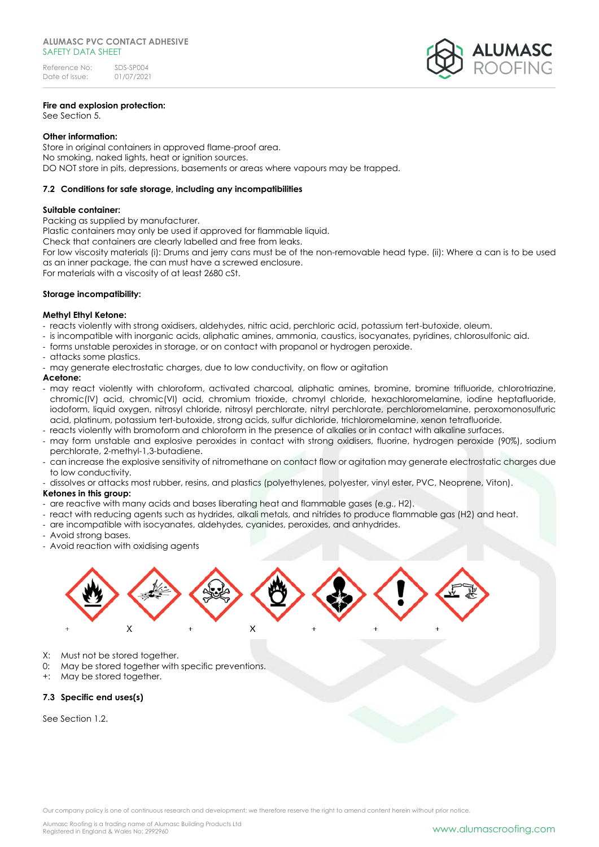# **Fire and explosion protection:**

See Section 5.

# **Other information:**

Store in original containers in approved flame-proof area. No smoking, naked lights, heat or ignition sources. DO NOT store in pits, depressions, basements or areas where vapours may be trapped.

# **7.2 Conditions for safe storage, including any incompatibilities**

# **Suitable container:**

Packing as supplied by manufacturer. Plastic containers may only be used if approved for flammable liquid. Check that containers are clearly labelled and free from leaks. For low viscosity materials (i): Drums and jerry cans must be of the non-removable head type. (ii): Where a can is to be used as an inner package, the can must have a screwed enclosure. For materials with a viscosity of at least 2680 cSt.

## **Storage incompatibility:**

# **Methyl Ethyl Ketone:**

- reacts violently with strong oxidisers, aldehydes, nitric acid, perchloric acid, potassium tert-butoxide, oleum.
- is incompatible with inorganic acids, aliphatic amines, ammonia, caustics, isocyanates, pyridines, chlorosulfonic aid.
- forms unstable peroxides in storage, or on contact with propanol or hydrogen peroxide.
- attacks some plastics.
- may generate electrostatic charges, due to low conductivity, on flow or agitation

## **Acetone:**

- may react violently with chloroform, activated charcoal, aliphatic amines, bromine, bromine trifluoride, chlorotriazine, chromic(IV) acid, chromic(VI) acid, chromium trioxide, chromyl chloride, hexachloromelamine, iodine heptafluoride, iodoform, liquid oxygen, nitrosyl chloride, nitrosyl perchlorate, nitryl perchlorate, perchloromelamine, peroxomonosulfuric acid, platinum, potassium tert-butoxide, strong acids, sulfur dichloride, trichloromelamine, xenon tetrafluoride.
- reacts violently with bromoform and chloroform in the presence of alkalies or in contact with alkaline surfaces.
- may form unstable and explosive peroxides in contact with strong oxidisers, fluorine, hydrogen peroxide (90%), sodium perchlorate, 2-methyl-1,3-butadiene.
- can increase the explosive sensitivity of nitromethane on contact flow or agitation may generate electrostatic charges due to low conductivity.
- dissolves or attacks most rubber, resins, and plastics (polyethylenes, polyester, vinyl ester, PVC, Neoprene, Viton).

# **Ketones in this group:**

- are reactive with many acids and bases liberating heat and flammable gases (e.g., H2).
- react with reducing agents such as hydrides, alkali metals, and nitrides to produce flammable gas (H2) and heat.
- are incompatible with isocyanates, aldehydes, cyanides, peroxides, and anhydrides.
- Avoid strong bases.
- Avoid reaction with oxidising agents



- X: Must not be stored together.
- May be stored together with specific preventions.
- +: May be stored together.

# **7.3 Specific end uses(s)**

See Section 1.2.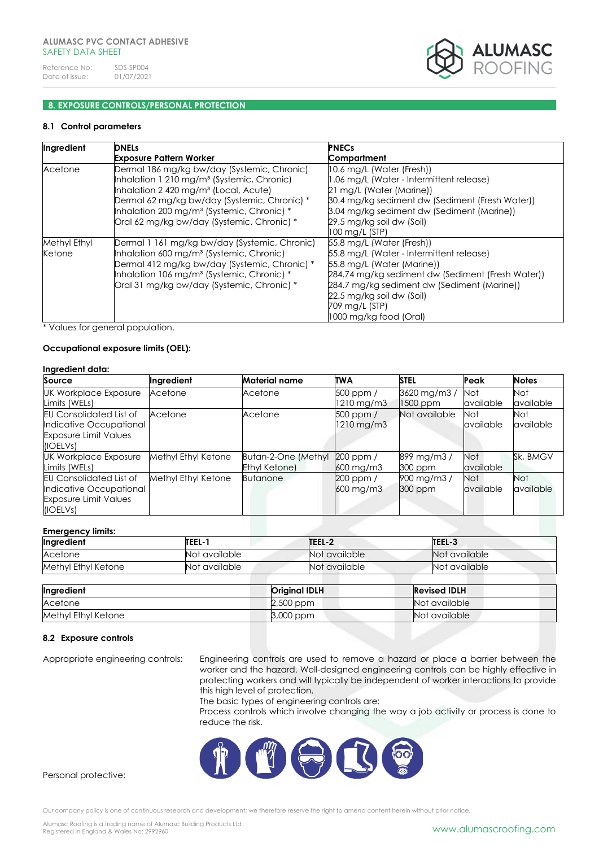

# **8. EXPOSURE CONTROLS/PERSONAL PROTECTION**

# **8.1 Control parameters**

| Ingredient   | <b>DNELs</b>                                           | <b>PNECs</b>                                      |
|--------------|--------------------------------------------------------|---------------------------------------------------|
|              | <b>Exposure Pattern Worker</b>                         | Compartment                                       |
| Acetone      | Dermal 186 mg/kg bw/day (Systemic, Chronic)            | 10.6 mg/L (Water (Fresh))                         |
|              | Inhalation 1 210 mg/m <sup>3</sup> (Systemic, Chronic) | 1.06 mg/L (Water - Intermittent release)          |
|              | Inhalation 2 420 mg/m <sup>3</sup> (Local, Acute)      | 21 mg/L (Water (Marine))                          |
|              | Dermal 62 mg/kg bw/day (Systemic, Chronic) *           | 30.4 mg/kg sediment dw (Sediment (Fresh Water))   |
|              | Inhalation 200 mg/m <sup>3</sup> (Systemic, Chronic) * | 3.04 mg/kg sediment dw (Sediment (Marine))        |
|              | Oral 62 mg/kg bw/day (Systemic, Chronic) *             | 29.5 mg/kg soil dw (Soil)                         |
|              |                                                        | 100 mg/L (STP)                                    |
| Methyl Ethyl | Dermal 1 161 mg/kg bw/day (Systemic, Chronic)          | 55.8 mg/L (Water (Fresh))                         |
| Ketone       | Inhalation 600 mg/m <sup>3</sup> (Systemic, Chronic)   | 55.8 mg/L (Water - Intermittent release)          |
|              | Dermal 412 mg/kg bw/day (Systemic, Chronic) *          | 55.8 mg/L (Water (Marine))                        |
|              | Inhalation 106 mg/m <sup>3</sup> (Systemic, Chronic) * | 284.74 mg/kg sediment dw (Sediment (Fresh Water)) |
|              | Oral 31 mg/kg bw/day (Systemic, Chronic) *             | 284.7 mg/kg sediment dw (Sediment (Marine))       |
|              |                                                        | 22.5 mg/kg soil dw (Soil)                         |
|              |                                                        | 709 mg/L (STP)                                    |
|              |                                                        | 1000 mg/kg food (Oral)                            |

\* Values for general population.

# **Occupational exposure limits (OEL):**

|--|

| Source                         | Ingredient          | <b>Material name</b> | <b>TWA</b>              | <b>STEL</b>   | Peak      | <b>Notes</b> |
|--------------------------------|---------------------|----------------------|-------------------------|---------------|-----------|--------------|
| <b>UK Workplace Exposure</b>   | Acetone             | Acetone              | $500$ ppm $/$           | 3620 mg/m3/   | Not       | Not          |
| Limits (WELs)                  |                     |                      | $1210 \,\mathrm{mg/m3}$ | $1500$ ppm    | available | available    |
| <b>EU Consolidated List of</b> | Acetone             | Acetone              | $500$ ppm $/$           | Not available | Not       | Not.         |
| Indicative Occupational        |                     |                      | 1210 mg/m3              |               | available | available    |
| <b>Exposure Limit Values</b>   |                     |                      |                         |               |           |              |
| (IOELV <sub>S</sub> )          |                     |                      |                         |               |           |              |
| <b>UK Workplace Exposure</b>   | Methyl Ethyl Ketone | Butan-2-One (Methyl  | $200$ ppm $/$           | 899 mg/m3/    | Not       | Sk, BMGV     |
| Limits (WELs)                  |                     | Ethyl Ketone)        | $600$ mg/m $3$          | 300 ppm       | available |              |
| <b>EU Consolidated List of</b> | Methyl Ethyl Ketone | <b>Butanone</b>      | $200$ ppm $/$           | 900 mg/m3/    | Not       | <b>Not</b>   |
| Indicative Occupational        |                     |                      | $600 \,\mathrm{mg/m}$   | 300 ppm       | available | available    |
| <b>Exposure Limit Values</b>   |                     |                      |                         |               |           |              |
| (IOELVs)                       |                     |                      |                         |               |           |              |

#### **Emergency limits:**

| Ingredient          | TEEL-1        | TEEL-2        | TEEL-3          |
|---------------------|---------------|---------------|-----------------|
| Acetone             | Not available | Not available | Not available   |
| Methyl Ethyl Ketone | Not available | Not available | "Not available" |

| Ingredient          | <b>Original IDLH</b> | <b>Revised IDLH</b> |
|---------------------|----------------------|---------------------|
| Acetone             | $2,500$ ppm          | Not available       |
| Methyl Ethyl Ketone | 3,000 ppm            | Not available       |

### **8.2 Exposure controls**

Appropriate engineering controls: Engineering controls are used to remove a hazard or place a barrier between the worker and the hazard. Well-designed engineering controls can be highly effective in protecting workers and will typically be independent of worker interactions to provide this high level of protection.

The basic types of engineering controls are:

Process controls which involve changing the way a job activity or process is done to reduce the risk.



Personal protective:

Our company policy is one of continuous research and development; we therefore reserve the right to amend content herein without prior notice.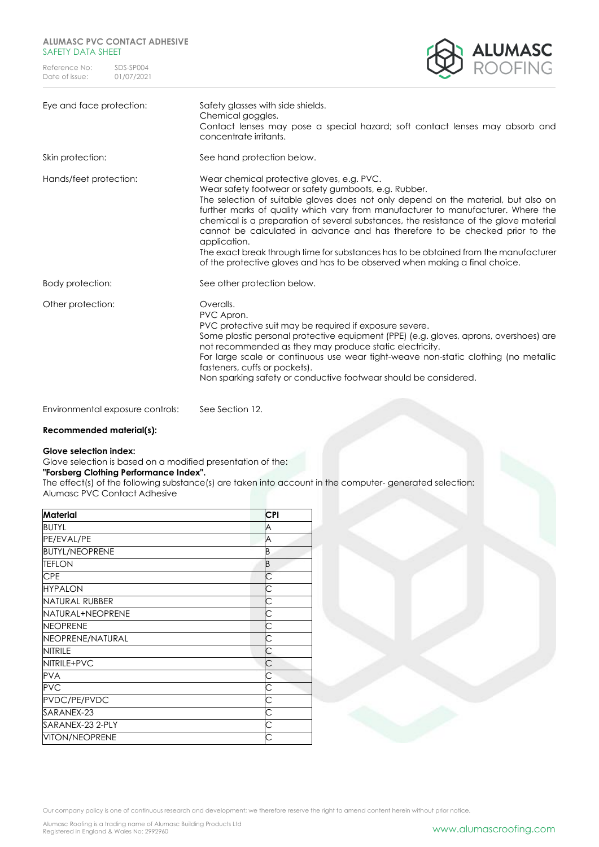

| Eye and face protection: | Safety glasses with side shields.<br>Chemical goggles.<br>Contact lenses may pose a special hazard; soft contact lenses may absorb and<br>concentrate irritants.                                                                                                                                                                                                                                                                                                                                                                                                                                                                              |
|--------------------------|-----------------------------------------------------------------------------------------------------------------------------------------------------------------------------------------------------------------------------------------------------------------------------------------------------------------------------------------------------------------------------------------------------------------------------------------------------------------------------------------------------------------------------------------------------------------------------------------------------------------------------------------------|
| Skin protection:         | See hand protection below.                                                                                                                                                                                                                                                                                                                                                                                                                                                                                                                                                                                                                    |
| Hands/feet protection:   | Wear chemical protective gloves, e.g. PVC.<br>Wear safety footwear or safety gumboots, e.g. Rubber.<br>The selection of suitable gloves does not only depend on the material, but also on<br>further marks of quality which vary from manufacturer to manufacturer. Where the<br>chemical is a preparation of several substances, the resistance of the glove material<br>cannot be calculated in advance and has therefore to be checked prior to the<br>application.<br>The exact break through time for substances has to be obtained from the manufacturer<br>of the protective gloves and has to be observed when making a final choice. |
| Body protection:         | See other protection below.                                                                                                                                                                                                                                                                                                                                                                                                                                                                                                                                                                                                                   |
| Other protection:        | Overalls.<br>PVC Apron.<br>PVC protective suit may be required if exposure severe.<br>Some plastic personal protective equipment (PPE) (e.g. gloves, aprons, overshoes) are<br>not recommended as they may produce static electricity.<br>For large scale or continuous use wear tight-weave non-static clothing (no metallic<br>fasteners, cuffs or pockets).<br>Non sparking safety or conductive footwear should be considered.                                                                                                                                                                                                            |
|                          |                                                                                                                                                                                                                                                                                                                                                                                                                                                                                                                                                                                                                                               |

Environmental exposure controls: See Section 12.

## **Recommended material(s):**

#### **Glove selection index:**

Glove selection is based on a modified presentation of the:

# **"Forsberg Clothing Performance Index".**

The effect(s) of the following substance(s) are taken into account in the computer- generated selection: Alumasc PVC Contact Adhesive

| Material              | CPI |  |
|-----------------------|-----|--|
| <b>BUTYL</b>          | A   |  |
| PE/EVAL/PE            | A   |  |
| <b>BUTYL/NEOPRENE</b> | B   |  |
| <b>TEFLON</b>         | B   |  |
| <b>CPE</b>            | С   |  |
| <b>HYPALON</b>        | С   |  |
| <b>NATURAL RUBBER</b> | С   |  |
| NATURAL+NEOPRENE      | С   |  |
| <b>NEOPRENE</b>       |     |  |
| NEOPRENE/NATURAL      |     |  |
| <b>NITRILE</b>        | С   |  |
| NITRILE+PVC           | C   |  |
| <b>PVA</b>            | С   |  |
| <b>PVC</b>            |     |  |
| PVDC/PE/PVDC          | С   |  |
| SARANEX-23            | С   |  |
| SARANEX-23 2-PLY      | С   |  |
| VITON/NEOPRENE        |     |  |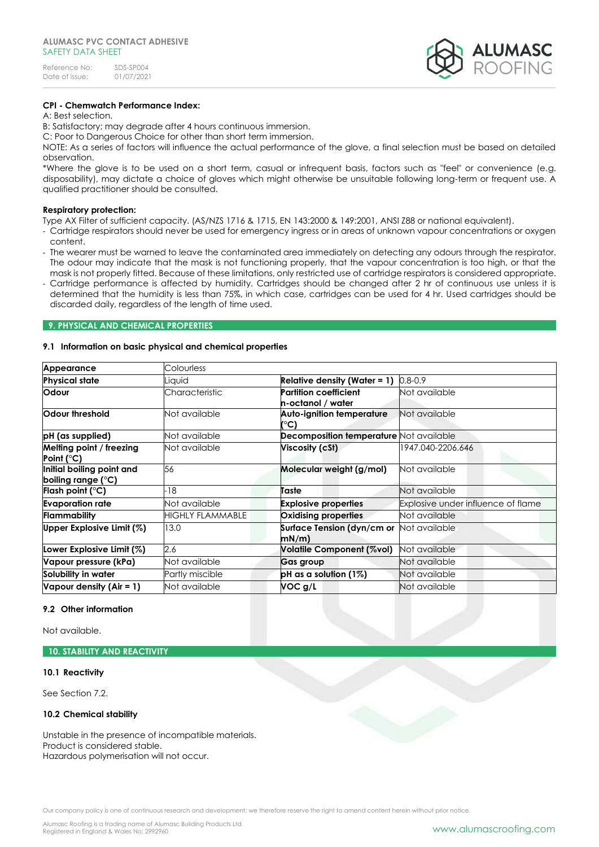| Reference No:  | SDS-SP004  |
|----------------|------------|
| Date of issue: | 01/07/2021 |



# **CPI - Chemwatch Performance Index:**

# A: Best selection.

B: Satisfactory; may degrade after 4 hours continuous immersion.

C: Poor to Dangerous Choice for other than short term immersion.

NOTE: As a series of factors will influence the actual performance of the glove, a final selection must be based on detailed observation.

\*Where the glove is to be used on a short term, casual or infrequent basis, factors such as "feel" or convenience (e.g. disposability), may dictate a choice of gloves which might otherwise be unsuitable following long-term or frequent use. A qualified practitioner should be consulted.

#### **Respiratory protection:**

Type AX Filter of sufficient capacity. (AS/NZS 1716 & 1715, EN 143:2000 & 149:2001, ANSI Z88 or national equivalent).

- Cartridge respirators should never be used for emergency ingress or in areas of unknown vapour concentrations or oxygen content.
- The wearer must be warned to leave the contaminated area immediately on detecting any odours through the respirator. The odour may indicate that the mask is not functioning properly, that the vapour concentration is too high, or that the mask is not properly fitted. Because of these limitations, only restricted use of cartridge respirators is considered appropriate.
- Cartridge performance is affected by humidity. Cartridges should be changed after 2 hr of continuous use unless it is determined that the humidity is less than 75%, in which case, cartridges can be used for 4 hr. Used cartridges should be discarded daily, regardless of the length of time used.

#### **9. PHYSICAL AND CHEMICAL PROPERTIES**

#### **9.1 Information on basic physical and chemical properties**

| Appearance                                      | Colourless              |                                                   |                                    |
|-------------------------------------------------|-------------------------|---------------------------------------------------|------------------------------------|
| <b>Physical state</b>                           | Liauid                  | <b>Relative density (Water = 1)</b>               | $0.8 - 0.9$                        |
| <b>Odour</b>                                    | Characteristic          | <b>Partition coefficient</b><br>n-octanol / water | Not available                      |
| Odour threshold                                 | Not available           | Auto-ignition temperature<br>(°C)                 | Not available                      |
| pH (as supplied)                                | Not available           | <b>Decomposition temperature Not available</b>    |                                    |
| Melting point / freezing<br>Point (°C)          | Not available           | Viscosity (cSt)                                   | 1947.040-2206.646                  |
| Initial boiling point and<br>boiling range (°C) | 56                      | Molecular weight (g/mol)                          | Not available                      |
| Flash point ( $^{\circ}$ C)                     | -18                     | Taste                                             | Not available                      |
| <b>Evaporation rate</b>                         | Not available           | <b>Explosive properties</b>                       | Explosive under influence of flame |
| Flammability                                    | <b>HIGHLY FLAMMABLE</b> | Oxidising properties                              | Not available                      |
| Upper Explosive Limit (%)                       | 13.0                    | Surface Tension (dyn/cm or Not available<br>mN/m  |                                    |
| Lower Explosive Limit (%)                       | 2.6                     | Volatile Component (%vol)                         | Not available                      |
| Vapour pressure (kPa)                           | Not available           | Gas group                                         | Not available                      |
| Solubility in water                             | Partly miscible         | pH as a solution $(1\%)$                          | Not available                      |
| Vapour density (Air = 1)                        | Not available           | VOC g/L                                           | Not available                      |

## **9.2 Other information**

Not available.

#### **10. STABILITY AND REACTIVITY**

#### **10.1 Reactivity**

See Section 7.2.

## **10.2 Chemical stability**

Unstable in the presence of incompatible materials. Product is considered stable. Hazardous polymerisation will not occur.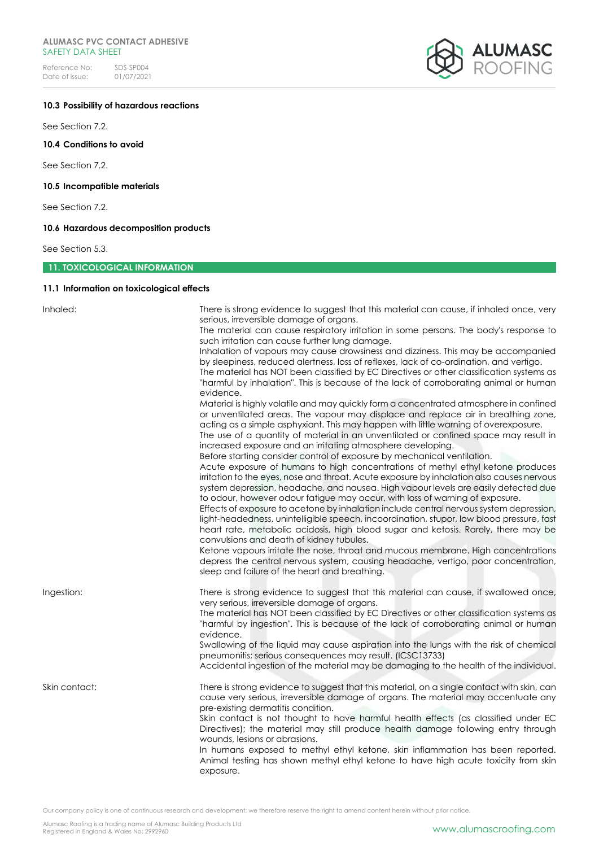# **ALUMASC PVC CONTACT ADHESIVE**  SAFETY DATA SHEET

Reference No: SDS-SP004<br>Date of issue: 01/07/2021  $01/07/2021$ 



# **10.3 Possibility of hazardous reactions**

See Section 7.2.

**10.4 Conditions to avoid**

See Section 7.2.

# **10.5 Incompatible materials**

See Section 7.2.

# **10.6 Hazardous decomposition products**

See Section 5.3.

# **11. TOXICOLOGICAL INFORMATION**

# **11.1 Information on toxicological effects**

| Inhaled:      | There is strong evidence to suggest that this material can cause, if inhaled once, very<br>serious, irreversible damage of organs.<br>The material can cause respiratory irritation in some persons. The body's response to<br>such irritation can cause further lung damage.<br>Inhalation of vapours may cause drowsiness and dizziness. This may be accompanied<br>by sleepiness, reduced alertness, loss of reflexes, lack of co-ordination, and vertigo.<br>The material has NOT been classified by EC Directives or other classification systems as                                                                                                                     |
|---------------|-------------------------------------------------------------------------------------------------------------------------------------------------------------------------------------------------------------------------------------------------------------------------------------------------------------------------------------------------------------------------------------------------------------------------------------------------------------------------------------------------------------------------------------------------------------------------------------------------------------------------------------------------------------------------------|
|               | "harmful by inhalation". This is because of the lack of corroborating animal or human<br>evidence.<br>Material is highly volatile and may quickly form a concentrated atmosphere in confined<br>or unventilated areas. The vapour may displace and replace air in breathing zone,<br>acting as a simple asphyxiant. This may happen with little warning of overexposure.<br>The use of a quantity of material in an unventilated or confined space may result in<br>increased exposure and an irritating atmosphere developing.<br>Before starting consider control of exposure by mechanical ventilation.                                                                    |
|               | Acute exposure of humans to high concentrations of methyl ethyl ketone produces<br>irritation to the eyes, nose and throat. Acute exposure by inhalation also causes nervous<br>system depression, headache, and nausea. High vapour levels are easily detected due<br>to odour, however odour fatigue may occur, with loss of warning of exposure.<br>Effects of exposure to acetone by inhalation include central nervous system depression,<br>light-headedness, unintelligible speech, incoordination, stupor, low blood pressure, fast<br>heart rate, metabolic acidosis, high blood sugar and ketosis. Rarely, there may be<br>convulsions and death of kidney tubules. |
|               | Ketone vapours irritate the nose, throat and mucous membrane. High concentrations<br>depress the central nervous system, causing headache, vertigo, poor concentration,<br>sleep and failure of the heart and breathing.                                                                                                                                                                                                                                                                                                                                                                                                                                                      |
| Ingestion:    | There is strong evidence to suggest that this material can cause, if swallowed once,<br>very serious, irreversible damage of organs.<br>The material has NOT been classified by EC Directives or other classification systems as<br>"harmful by ingestion". This is because of the lack of corroborating animal or human<br>evidence.<br>Swallowing of the liquid may cause aspiration into the lungs with the risk of chemical                                                                                                                                                                                                                                               |
|               | pneumonitis; serious consequences may result. (ICSC13733)<br>Accidental ingestion of the material may be damaging to the health of the individual.                                                                                                                                                                                                                                                                                                                                                                                                                                                                                                                            |
| Skin contact: | There is strong evidence to suggest that this material, on a single contact with skin, can<br>cause very serious, irreversible damage of organs. The material may accentuate any<br>pre-existing dermatitis condition.<br>Skin contact is not thought to have harmful health effects (as classified under EC<br>Directives); the material may still produce health damage following entry through<br>wounds, lesions or abrasions.                                                                                                                                                                                                                                            |
|               | In humans exposed to methyl ethyl ketone, skin inflammation has been reported.<br>Animal testing has shown methyl ethyl ketone to have high acute toxicity from skin<br>exposure.                                                                                                                                                                                                                                                                                                                                                                                                                                                                                             |

Our company policy is one of continuous research and development; we therefore reserve the right to amend content herein without prior notice.

Alumasc Roofing is a trading name of Alumasc Building Products Ltd<br>Registered in England & Wales No: 2992960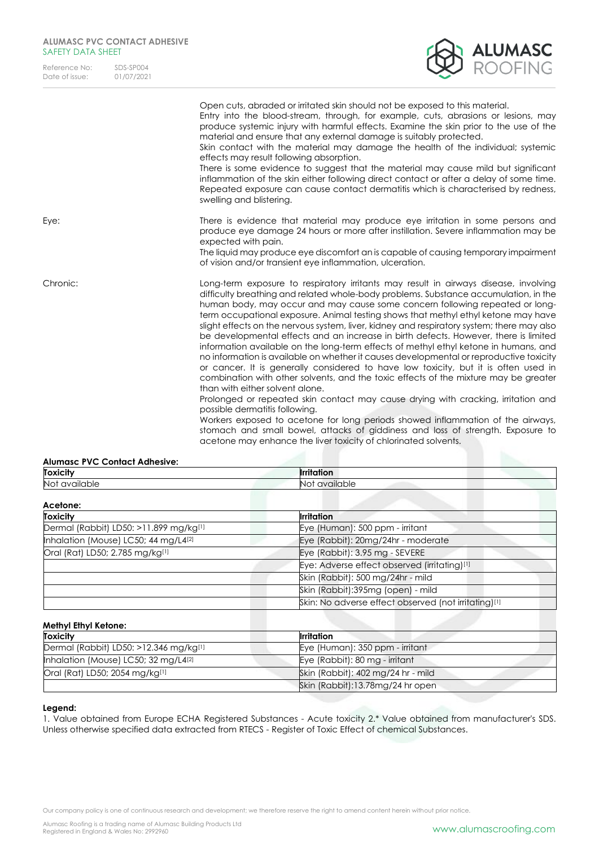| Reference No:  | SDS-SP004  |
|----------------|------------|
| Date of issue: | 01/07/2021 |



|          | Open cuts, abraded or irritated skin should not be exposed to this material.<br>Entry into the blood-stream, through, for example, cuts, abrasions or lesions, may<br>produce systemic injury with harmful effects. Examine the skin prior to the use of the<br>material and ensure that any external damage is suitably protected.<br>Skin contact with the material may damage the health of the individual; systemic<br>effects may result following absorption.<br>There is some evidence to suggest that the material may cause mild but significant<br>inflammation of the skin either following direct contact or after a delay of some time.<br>Repeated exposure can cause contact dermatitis which is characterised by redness,<br>swelling and blistering.                                                                                                                                                                                                                                                                                                                                                                                                                                                                      |
|----------|--------------------------------------------------------------------------------------------------------------------------------------------------------------------------------------------------------------------------------------------------------------------------------------------------------------------------------------------------------------------------------------------------------------------------------------------------------------------------------------------------------------------------------------------------------------------------------------------------------------------------------------------------------------------------------------------------------------------------------------------------------------------------------------------------------------------------------------------------------------------------------------------------------------------------------------------------------------------------------------------------------------------------------------------------------------------------------------------------------------------------------------------------------------------------------------------------------------------------------------------|
| Eye:     | There is evidence that material may produce eye irritation in some persons and<br>produce eye damage 24 hours or more after instillation. Severe inflammation may be<br>expected with pain.                                                                                                                                                                                                                                                                                                                                                                                                                                                                                                                                                                                                                                                                                                                                                                                                                                                                                                                                                                                                                                                |
|          | The liquid may produce eye discomfort an is capable of causing temporary impairment<br>of vision and/or transient eye inflammation, ulceration.                                                                                                                                                                                                                                                                                                                                                                                                                                                                                                                                                                                                                                                                                                                                                                                                                                                                                                                                                                                                                                                                                            |
| Chronic: | Long-term exposure to respiratory irritants may result in airways disease, involving<br>difficulty breathing and related whole-body problems. Substance accumulation, in the<br>human body, may occur and may cause some concern following repeated or long-<br>term occupational exposure. Animal testing shows that methyl ethyl ketone may have<br>slight effects on the nervous system, liver, kidney and respiratory system; there may also<br>be developmental effects and an increase in birth defects. However, there is limited<br>information available on the long-term effects of methyl ethyl ketone in humans, and<br>no information is available on whether it causes developmental or reproductive toxicity<br>or cancer. It is generally considered to have low toxicity, but it is often used in<br>combination with other solvents, and the toxic effects of the mixture may be greater<br>than with either solvent alone.<br>Prolonged or repeated skin contact may cause drying with cracking, irritation and<br>possible dermatitis following.<br>Workers exposed to acetone for long periods showed inflammation of the airways,<br>stomach and small bowel, attacks of giddiness and loss of strength. Exposure to |
|          | acetone may enhance the liver toxicity of chlorinated solvents.                                                                                                                                                                                                                                                                                                                                                                                                                                                                                                                                                                                                                                                                                                                                                                                                                                                                                                                                                                                                                                                                                                                                                                            |

| <b>Alumasc PVC Contact Adhesive:</b>          |                                               |
|-----------------------------------------------|-----------------------------------------------|
| <b>Toxicity</b>                               | <b>Irritation</b>                             |
| $M \sim 4$ $\sim$ $\sim$ $\sim$ $\sim$ $\sim$ | $M \sim 4$ $\sim$ $\sim$ $\sim$ $\sim$ $\sim$ |

| Not available                          | Not available                                        |  |
|----------------------------------------|------------------------------------------------------|--|
| Acetone:                               |                                                      |  |
| <b>Toxicity</b>                        | <b>Irritation</b>                                    |  |
| Dermal (Rabbit) LD50: >11.899 mg/kg[1] | Eye (Human): 500 ppm - irritant                      |  |
| Inhalation (Mouse) LC50; 44 mg/L4[2]   | Eye (Rabbit): 20mg/24hr - moderate                   |  |
| Oral (Rat) LD50; 2.785 mg/kg[1]        | Eye (Rabbit): 3.95 mg - SEVERE                       |  |
|                                        | Eye: Adverse effect observed (irritating)[1]         |  |
|                                        | Skin (Rabbit): 500 mg/24hr - mild                    |  |
|                                        | Skin (Rabbit):395mg (open) - mild                    |  |
|                                        | Skin: No adverse effect observed (not irritating)[1] |  |

# **Methyl Ethyl Ketone:**

| <b>Toxicity</b>                          | Irritation                         |
|------------------------------------------|------------------------------------|
| Dermal (Rabbit) LD50: $>12.346$ mg/kg[1] | Eye (Human): 350 ppm - irritant    |
| Inhalation (Mouse) LC50; 32 mg/L4 $[2]$  | Eye (Rabbit): 80 mg - irritant     |
| Oral (Rat) LD50; 2054 mg/kg[1]           | Skin (Rabbit): 402 mg/24 hr - mild |
|                                          | Skin (Rabbit):13.78mg/24 hr open   |

# **Legend:**

1. Value obtained from Europe ECHA Registered Substances - Acute toxicity 2.\* Value obtained from manufacturer's SDS. Unless otherwise specified data extracted from RTECS - Register of Toxic Effect of chemical Substances.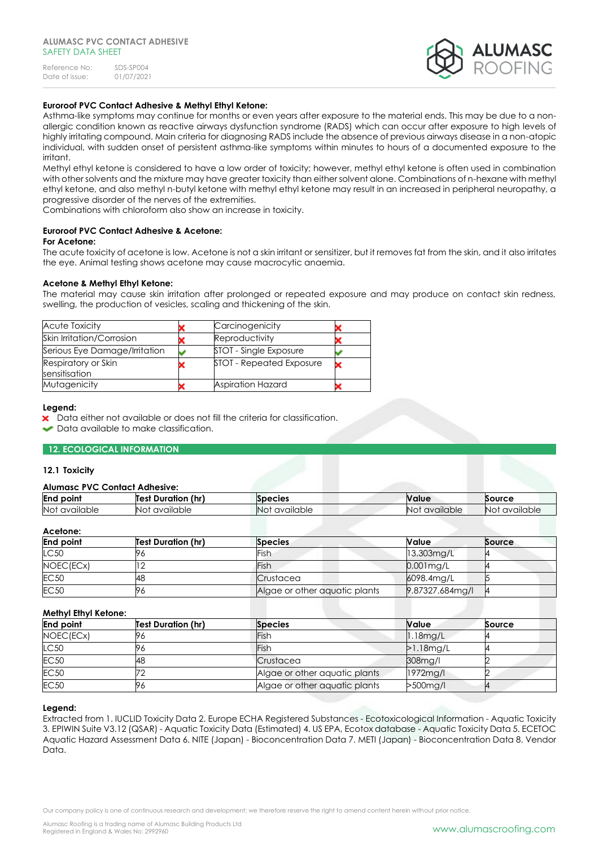

# **Euroroof PVC Contact Adhesive & Methyl Ethyl Ketone:**

Asthma-like symptoms may continue for months or even years after exposure to the material ends. This may be due to a nonallergic condition known as reactive airways dysfunction syndrome (RADS) which can occur after exposure to high levels of highly irritating compound. Main criteria for diagnosing RADS include the absence of previous airways disease in a non-atopic individual, with sudden onset of persistent asthma-like symptoms within minutes to hours of a documented exposure to the irritant.

Methyl ethyl ketone is considered to have a low order of toxicity; however, methyl ethyl ketone is often used in combination with other solvents and the mixture may have greater toxicity than either solvent alone. Combinations of n-hexane with methyl ethyl ketone, and also methyl n-butyl ketone with methyl ethyl ketone may result in an increased in peripheral neuropathy, a progressive disorder of the nerves of the extremities.

Combinations with chloroform also show an increase in toxicity.

# **Euroroof PVC Contact Adhesive & Acetone:**

#### **For Acetone:**

The acute toxicity of acetone is low. Acetone is not a skin irritant or sensitizer, but it removes fat from the skin, and it also irritates the eye. Animal testing shows acetone may cause macrocytic anaemia.

#### **Acetone & Methyl Ethyl Ketone:**

The material may cause skin irritation after prolonged or repeated exposure and may produce on contact skin redness, swelling, the production of vesicles, scaling and thickening of the skin.

| <b>Acute Toxicity</b>                | Carcinogenicity          |  |
|--------------------------------------|--------------------------|--|
| Skin Irritation/Corrosion            | Reproductivity           |  |
| Serious Eye Damage/Irritation        | STOT - Single Exposure   |  |
| Respiratory or Skin<br>sensitisation | STOT - Repeated Exposure |  |
| Mutagenicity                         | Aspiration Hazard        |  |

#### **Legend:**

X Data either not available or does not fill the criteria for classification.

Data available to make classification.

#### **12. ECOLOGICAL INFORMATION**

#### **12.1 Toxicity**

# **Alumasc PVC Contact Adhesive:**

| <b>End</b><br>point | <br>(hr<br>Test<br><b>Duration</b> | <b>Species</b>         | Nalue          | Source            |
|---------------------|------------------------------------|------------------------|----------------|-------------------|
| Not<br>available    | vailable<br>NO.<br>$\gamma$        | <b>No</b><br>available | available<br>N | 'Noi<br>available |

## **Acetone:**

| <b>End point</b> | <b>Test Duration (hr)</b> | <b>Species</b>                | Value.          | Source |
|------------------|---------------------------|-------------------------------|-----------------|--------|
| LC50             |                           | Fish                          | $13.303$ mg/L   |        |
| NOEC(ECx)        |                           | Fish                          | $0.001$ mg/L    |        |
| <b>EC50</b>      | 48                        | Crustacea                     | 6098.4mg/L      |        |
| <b>EC50</b>      | 96                        | Algae or other aquatic plants | 9.87327.684mg/l |        |

# **Methyl Ethyl Ketone:**

| <b>End point</b> | <b>Test Duration (hr)</b> | <b>Species</b>                | <b>Value</b> | Source |
|------------------|---------------------------|-------------------------------|--------------|--------|
| NOEC(ECx)        | 96                        | Fish                          | $1.18$ mg/L  |        |
| LC50             | 76                        | Fish                          | $>1.18$ mg/L |        |
| <b>EC50</b>      | 48                        | Crustacea                     | 308mg/l      |        |
| <b>EC50</b>      |                           | Algae or other aquatic plants | 1972mg/l     |        |
| <b>EC50</b>      | 96                        | Algae or other aquatic plants | >500mg/l     |        |

#### **Legend:**

Extracted from 1. IUCLID Toxicity Data 2. Europe ECHA Registered Substances - Ecotoxicological Information - Aquatic Toxicity 3. EPIWIN Suite V3.12 (QSAR) - Aquatic Toxicity Data (Estimated) 4. US EPA, Ecotox database - Aquatic Toxicity Data 5. ECETOC Aquatic Hazard Assessment Data 6. NITE (Japan) - Bioconcentration Data 7. METI (Japan) - Bioconcentration Data 8. Vendor Data.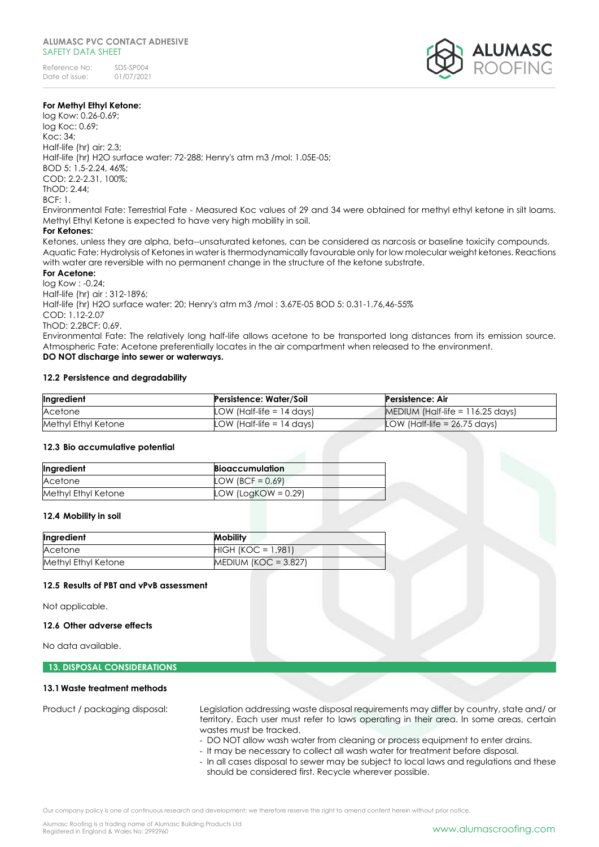

# **For Methyl Ethyl Ketone:**

log Kow: 0.26-0.69; log Koc: 0.69; Koc: 34; Half-life (hr) air: 2.3; Half-life (hr) H2O surface water: 72-288; Henry's atm m3 /mol: 1.05E-05; BOD 5: 1.5-2.24, 46%; COD: 2.2-2.31, 100%; ThOD: 2.44;  $RCF: 1$ Environmental Fate: Terrestrial Fate - Measured Koc values of 29 and 34 were obtained for methyl ethyl ketone in silt loams. Methyl Ethyl Ketone is expected to have very high mobility in soil.

### **For Ketones:**

Ketones, unless they are alpha, beta--unsaturated ketones, can be considered as narcosis or baseline toxicity compounds. Aquatic Fate: Hydrolysis of Ketones in water is thermodynamically favourable only for low molecular weight ketones. Reactions with water are reversible with no permanent change in the structure of the ketone substrate.

#### **For Acetone:**

log Kow : -0.24; Half-life (hr) air : 312-1896; Half-life (hr) H2O surface water: 20; Henry's atm m3 /mol : 3.67E-05 BOD 5: 0.31-1.76,46-55% COD: 1.12-2.07 ThOD: 2.2BCF: 0.69. Environmental Fate: The relatively long half-life allows acetone to be transported long distances from its emission source. Atmospheric Fate: Acetone preferentially locates in the air compartment when released to the environment. **DO NOT discharge into sewer or waterways.**

#### **12.2 Persistence and degradability**

| Ingredient          | Persistence: Water/Soil     | Persistence: Air                   |
|---------------------|-----------------------------|------------------------------------|
| Acetone             | LOW (Half-life $= 14$ days) | MEDIUM (Half-life = $116.25$ days) |
| Methyl Ethyl Ketone | LOW (Half-life $= 14$ days) | LOW (Half-life = $26.75$ days)     |

#### **12.3 Bio accumulative potential**

| Ingredient          | <b>Bioaccumulation</b> |  |
|---------------------|------------------------|--|
| Acetone             | LOW (BCF = $0.69$ )    |  |
| Methyl Ethyl Ketone | LOW (LogKOW = $0.29$ ) |  |

#### **12.4 Mobility in soil**

| Ingredient          | <b>Mobility</b>         |
|---------------------|-------------------------|
| Acetone             | $HIGH (KOC = 1.981)$    |
| Methyl Ethyl Ketone | MEDIUM (KOC = $3.827$ ) |

#### **12.5 Results of PBT and vPvB assessment**

Not applicable.

## **12.6 Other adverse effects**

No data available.

# **13. DISPOSAL CONSIDERATIONS**

# **13.1Waste treatment methods**

Product / packaging disposal: Legislation addressing waste disposal requirements may differ by country, state and/ or territory. Each user must refer to laws operating in their area. In some areas, certain wastes must be tracked.

- DO NOT allow wash water from cleaning or process equipment to enter drains.
- It may be necessary to collect all wash water for treatment before disposal.
- In all cases disposal to sewer may be subject to local laws and regulations and these should be considered first. Recycle wherever possible.

Our company policy is one of continuous research and development; we therefore reserve the right to amend content herein without prior notice.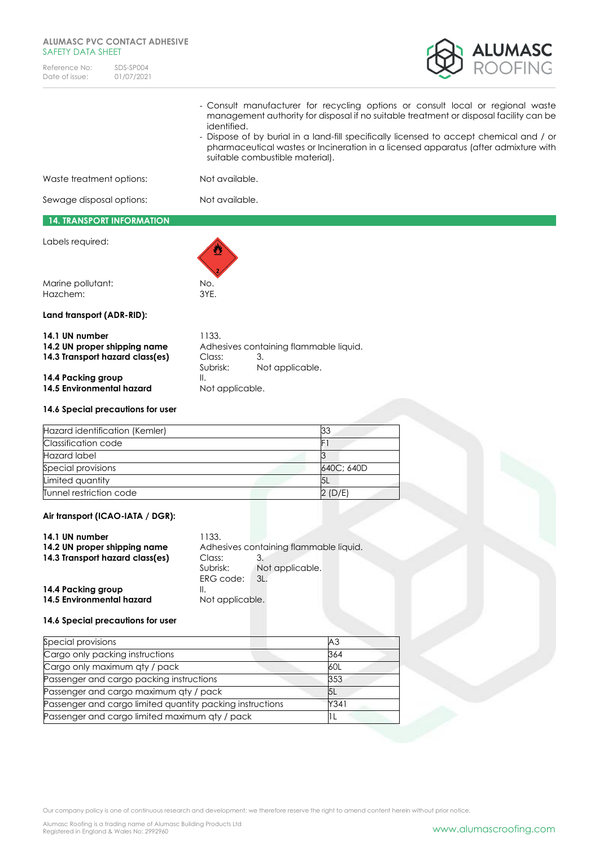# **ALUMASC PVC CONTACT ADHESIVE**  SAFETY DATA SHEET

| Reference No:  | SDS-SP004  |
|----------------|------------|
| Date of issue: | 01/07/2021 |



|                                                                                                         | identified.                       | suitable combustible material).                                 |            |  | - Consult manufacturer for recycling options or consult local or regional waste<br>management authority for disposal if no suitable treatment or disposal facility can be<br>- Dispose of by burial in a land-fill specifically licensed to accept chemical and / or<br>pharmaceutical wastes or Incineration in a licensed apparatus (after admixture with |
|---------------------------------------------------------------------------------------------------------|-----------------------------------|-----------------------------------------------------------------|------------|--|-------------------------------------------------------------------------------------------------------------------------------------------------------------------------------------------------------------------------------------------------------------------------------------------------------------------------------------------------------------|
| Waste treatment options:                                                                                | Not available.                    |                                                                 |            |  |                                                                                                                                                                                                                                                                                                                                                             |
| Sewage disposal options:                                                                                |                                   | Not available.                                                  |            |  |                                                                                                                                                                                                                                                                                                                                                             |
| <b>14. TRANSPORT INFORMATION</b>                                                                        |                                   |                                                                 |            |  |                                                                                                                                                                                                                                                                                                                                                             |
| Labels required:                                                                                        |                                   |                                                                 |            |  |                                                                                                                                                                                                                                                                                                                                                             |
| Marine pollutant:<br>Hazchem:                                                                           | No.<br>3YE.                       |                                                                 |            |  |                                                                                                                                                                                                                                                                                                                                                             |
| Land transport (ADR-RID):                                                                               |                                   |                                                                 |            |  |                                                                                                                                                                                                                                                                                                                                                             |
| 14.1 UN number<br>14.2 UN proper shipping name<br>14.3 Transport hazard class(es)<br>14.4 Packing group | 1133.<br>Class:<br>Subrisk:<br>Ⅱ. | Adhesives containing flammable liquid.<br>3.<br>Not applicable. |            |  |                                                                                                                                                                                                                                                                                                                                                             |
| 14.5 Environmental hazard                                                                               | Not applicable.                   |                                                                 |            |  |                                                                                                                                                                                                                                                                                                                                                             |
| 14.6 Special precautions for user                                                                       |                                   |                                                                 |            |  |                                                                                                                                                                                                                                                                                                                                                             |
| Hazard identification (Kemler)                                                                          |                                   |                                                                 | 33         |  |                                                                                                                                                                                                                                                                                                                                                             |
| Classification code                                                                                     |                                   |                                                                 | F1         |  |                                                                                                                                                                                                                                                                                                                                                             |
| Hazard label                                                                                            |                                   |                                                                 | 3          |  |                                                                                                                                                                                                                                                                                                                                                             |
| Special provisions                                                                                      |                                   |                                                                 | 640C; 640D |  |                                                                                                                                                                                                                                                                                                                                                             |
| Limited quantity                                                                                        |                                   |                                                                 | 5L         |  |                                                                                                                                                                                                                                                                                                                                                             |
| Tunnel restriction code                                                                                 |                                   |                                                                 | 2 (D/E)    |  |                                                                                                                                                                                                                                                                                                                                                             |
| Air transport (ICAO-IATA / DGR):                                                                        |                                   |                                                                 |            |  |                                                                                                                                                                                                                                                                                                                                                             |
| 14.1 UN number<br>14.2 UN proper shipping name                                                          | 1133.                             | hiunil aldpmmatlanan'i quidib-                                  |            |  |                                                                                                                                                                                                                                                                                                                                                             |

| 14.1 UN NUMBER                  | T 100.                                 |                 |
|---------------------------------|----------------------------------------|-----------------|
| 14.2 UN proper shipping name    | Adhesives containing flammable liquid. |                 |
| 14.3 Transport hazard class(es) | Class:                                 |                 |
|                                 | Subrisk:                               | Not applicable. |
|                                 | ERG code:                              | 3L              |
| 14.4 Packing group              |                                        |                 |
| 14.5 Environmental hazard       | Not applicable.                        |                 |
|                                 |                                        |                 |

# **14.6 Special precautions for user**

| Special provisions                                        | AЗ   |
|-----------------------------------------------------------|------|
| Cargo only packing instructions                           | 364  |
| Cargo only maximum qty / pack                             | 60L  |
| Passenger and cargo packing instructions                  | 353  |
| Passenger and cargo maximum qty / pack                    | ι5L  |
| Passenger and cargo limited quantity packing instructions | Y341 |
| Passenger and cargo limited maximum qty / pack            |      |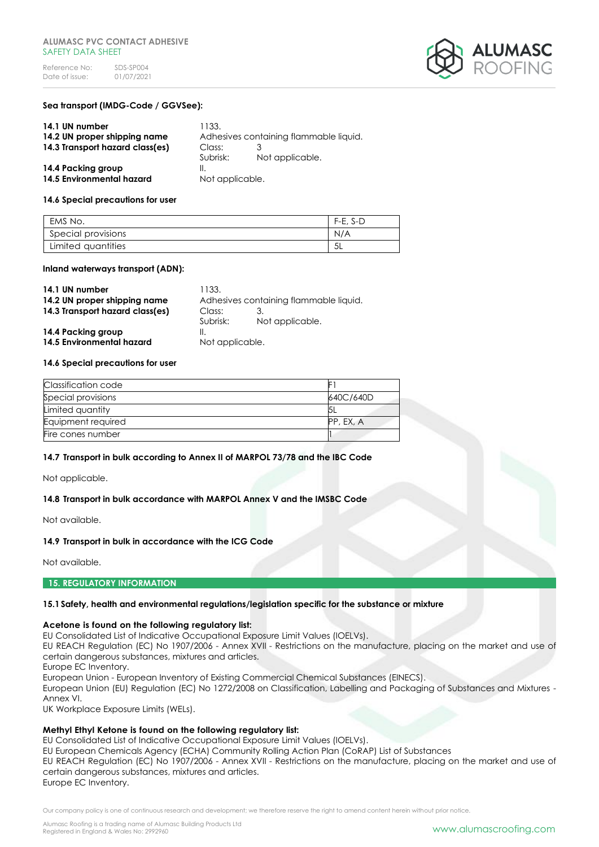

## **Sea transport (IMDG-Code / GGVSee):**

| 14.1 UN number                  | 1133.           |                                        |
|---------------------------------|-----------------|----------------------------------------|
| 14.2 UN proper shipping name    |                 | Adhesives containing flammable liquid. |
| 14.3 Transport hazard class(es) | Class:          |                                        |
|                                 | Subrisk:        | Not applicable.                        |
| 14.4 Packing group              |                 |                                        |
| 14.5 Environmental hazard       | Not applicable. |                                        |

#### **14.6 Special precautions for user**

| EMS No.            | $F-E. S-D$ |
|--------------------|------------|
| Special provisions | N/A        |
| Limited quantities | 5L         |

#### **Inland waterways transport (ADN):**

| 14.1 UN number                  | 1133.                                  |                 |  |
|---------------------------------|----------------------------------------|-----------------|--|
| 14.2 UN proper shipping name    | Adhesives containing flammable liquid. |                 |  |
| 14.3 Transport hazard class(es) | Class:                                 |                 |  |
|                                 | Subrisk:                               | Not applicable. |  |
| 14.4 Packing group              | Ⅱ.                                     |                 |  |
| 14.5 Environmental hazard       | Not applicable.                        |                 |  |

#### **14.6 Special precautions for user**

| Classification code |           |
|---------------------|-----------|
| Special provisions  | 640C/640D |
| Limited quantity    |           |
| Equipment required  | PP, EX, A |
| Fire cones number   |           |

## **14.7 Transport in bulk according to Annex II of MARPOL 73/78 and the IBC Code**

Not applicable.

## **14.8 Transport in bulk accordance with MARPOL Annex V and the IMSBC Code**

Not available.

# **14.9 Transport in bulk in accordance with the ICG Code**

Not available.

#### **15. REGULATORY INFORMATION**

## **15.1Safety, health and environmental regulations/legislation specific for the substance or mixture**

## **Acetone is found on the following regulatory list:**

EU Consolidated List of Indicative Occupational Exposure Limit Values (IOELVs).

EU REACH Regulation (EC) No 1907/2006 - Annex XVII - Restrictions on the manufacture, placing on the market and use of certain dangerous substances, mixtures and articles.

Europe EC Inventory.

European Union - European Inventory of Existing Commercial Chemical Substances (EINECS).

European Union (EU) Regulation (EC) No 1272/2008 on Classification, Labelling and Packaging of Substances and Mixtures - Annex VI.

UK Workplace Exposure Limits (WELs).

# **Methyl Ethyl Ketone is found on the following regulatory list:**

EU Consolidated List of Indicative Occupational Exposure Limit Values (IOELVs).

EU European Chemicals Agency (ECHA) Community Rolling Action Plan (CoRAP) List of Substances

EU REACH Regulation (EC) No 1907/2006 - Annex XVII - Restrictions on the manufacture, placing on the market and use of certain dangerous substances, mixtures and articles. Europe EC Inventory.

Our company policy is one of continuous research and development; we therefore reserve the right to amend content herein without prior notice.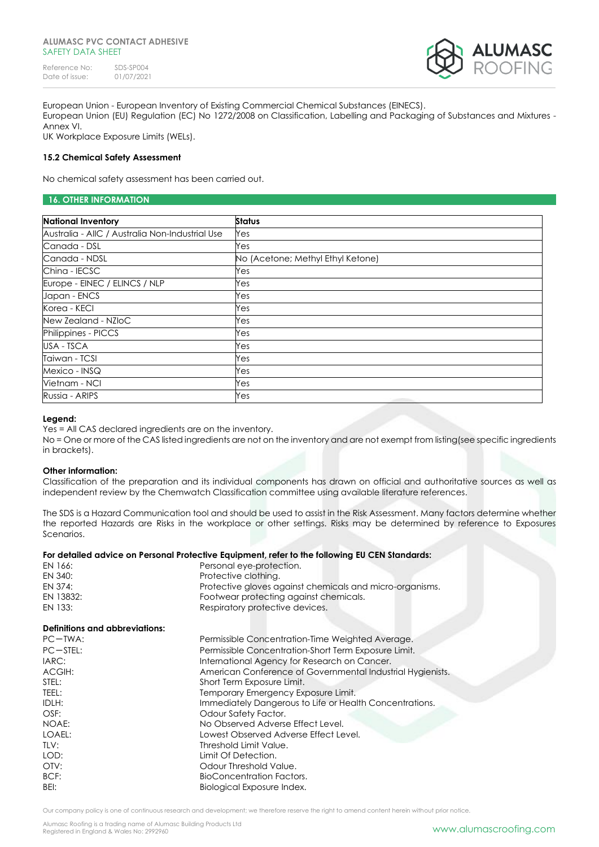#### **ALUMASC PVC CONTACT ADHESIVE**  SAFFTY DATA SHFFT

Reference No: SDS-SP004<br>Date of issue: 01/07/2021 Date of issue:



European Union - European Inventory of Existing Commercial Chemical Substances (EINECS). European Union (EU) Regulation (EC) No 1272/2008 on Classification, Labelling and Packaging of Substances and Mixtures - Annex VI.

UK Workplace Exposure Limits (WELs).

# **15.2 Chemical Safety Assessment**

No chemical safety assessment has been carried out.

# **16. OTHER INFORMATION**

| <b>National Inventory</b>                       | <b>Status</b>                     |
|-------------------------------------------------|-----------------------------------|
| Australia - AIIC / Australia Non-Industrial Use | Yes                               |
| Canada - DSL                                    | Yes                               |
| Canada - NDSL                                   | No (Acetone; Methyl Ethyl Ketone) |
| China - IECSC                                   | Yes                               |
| Europe - EINEC / ELINCS / NLP                   | Yes                               |
| Japan - ENCS                                    | Yes                               |
| Korea - KECI                                    | Yes                               |
| New Zealand - NZIoC                             | Yes                               |
| Philippines - PICCS                             | Yes                               |
| USA - TSCA                                      | Yes                               |
| Taiwan - TCSI                                   | Yes                               |
| Mexico - INSQ                                   | Yes                               |
| Vietnam - NCI                                   | Yes                               |
| Russia - ARIPS                                  | Yes                               |

## **Legend:**

Yes = All CAS declared ingredients are on the inventory.

No = One or more of the CAS listed ingredients are not on the inventory and are not exempt from listing(see specific ingredients in brackets).

## **Other information:**

Classification of the preparation and its individual components has drawn on official and authoritative sources as well as independent review by the Chemwatch Classification committee using available literature references.

The SDS is a Hazard Communication tool and should be used to assist in the Risk Assessment. Many factors determine whether the reported Hazards are Risks in the workplace or other settings. Risks may be determined by reference to Exposures Scenarios.

# **For detailed advice on Personal Protective Equipment, refer to the following EU CEN Standards:**

| EN 166:   | Personal eye-protection.                                 |
|-----------|----------------------------------------------------------|
| EN 340:   | Protective clothing.                                     |
| FN 374:   | Protective gloves against chemicals and micro-organisms. |
| EN 13832: | Footwear protecting against chemicals.                   |
| EN 133:   | Respiratory protective devices.                          |

# **Definitions and abbreviations:**

| $PC-TWA$ :    | Permissible Concentration-Time Weighted Average.           |
|---------------|------------------------------------------------------------|
| $PC - STEL$ : | Permissible Concentration-Short Term Exposure Limit.       |
| IARC:         | International Agency for Research on Cancer.               |
| ACGIH:        | American Conference of Governmental Industrial Hygienists. |
| STEL:         | Short Term Exposure Limit.                                 |
| TEEL:         | Temporary Emergency Exposure Limit.                        |
| IDLH:         | Immediately Dangerous to Life or Health Concentrations.    |
| OSF:          | Odour Safety Factor.                                       |
| NOAE:         | No Observed Adverse Effect Level.                          |
| LOAEL:        | Lowest Observed Adverse Effect Level.                      |
| TLV:          | Threshold Limit Value.                                     |
| LOD:          | Limit Of Detection.                                        |
| OTV:          | Odour Threshold Value.                                     |
| BCF:          | BioConcentration Factors.                                  |
| BEI:          | Biological Exposure Index.                                 |

Our company policy is one of continuous research and development; we therefore reserve the right to amend content herein without prior notice.